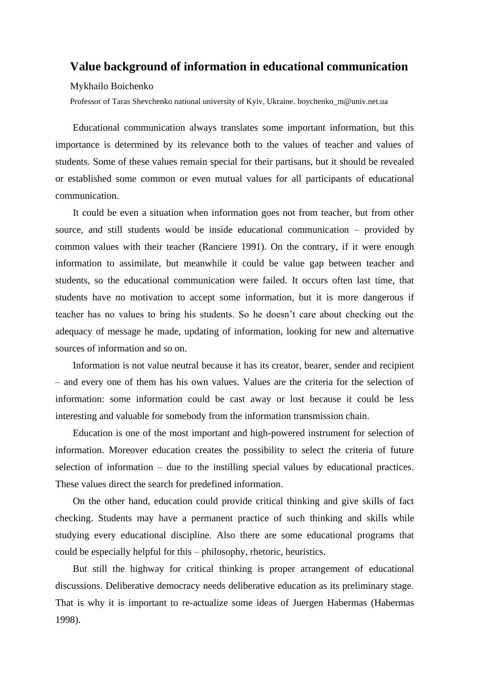## **Value background of information in educational communication**

## Mykhailo Boichenko

Professor of Taras Shevchenko national university of Kyiv, Ukraine. boychenko\_m@univ.net.ua

Educational communication always translates some important information, but this importance is determined by its relevance both to the values of teacher and values of students. Some of these values remain special for their partisans, but it should be revealed or established some common or even mutual values for all participants of educational communication.

It could be even a situation when information goes not from teacher, but from other source, and still students would be inside educational communication – provided by common values with their teacher (Ranciere 1991). On the contrary, if it were enough information to assimilate, but meanwhile it could be value gap between teacher and students, so the educational communication were failed. It occurs often last time, that students have no motivation to accept some information, but it is more dangerous if teacher has no values to bring his students. So he doesn't care about checking out the adequacy of message he made, updating of information, looking for new and alternative sources of information and so on.

Information is not value neutral because it has its creator, bearer, sender and recipient – and every one of them has his own values. Values are the criteria for the selection of information: some information could be cast away or lost because it could be less interesting and valuable for somebody from the information transmission chain.

Education is one of the most important and high-powered instrument for selection of information. Moreover education creates the possibility to select the criteria of future selection of information – due to the instilling special values by educational practices. These values direct the search for predefined information.

On the other hand, education could provide critical thinking and give skills of fact checking. Students may have a permanent practice of such thinking and skills while studying every educational discipline. Also there are some educational programs that could be especially helpful for this – philosophy, rhetoric, heuristics.

But still the highway for critical thinking is proper arrangement of educational discussions. Deliberative democracy needs deliberative education as its preliminary stage. That is why it is important to re-actualize some ideas of Juergen Habermas (Habermas 1998).